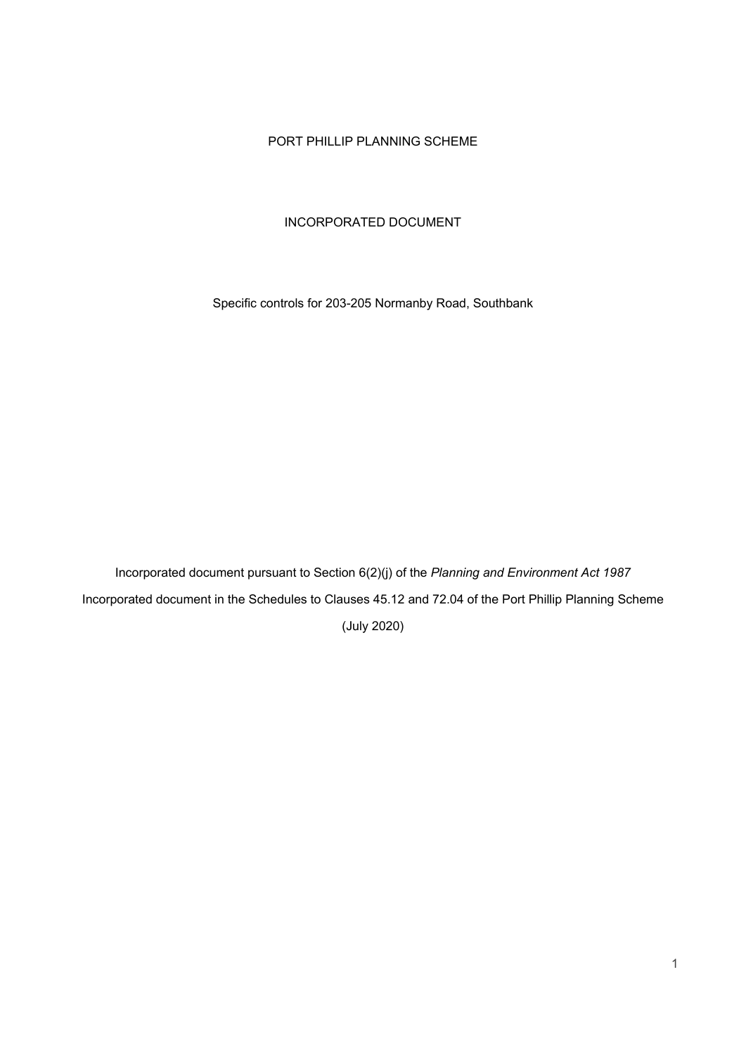# PORT PHILLIP PLANNING SCHEME

# INCORPORATED DOCUMENT

Specific controls for 203-205 Normanby Road, Southbank

Incorporated document pursuant to Section 6(2)(j) of the *Planning and Environment Act 1987* Incorporated document in the Schedules to Clauses 45.12 and 72.04 of the Port Phillip Planning Scheme (July 2020)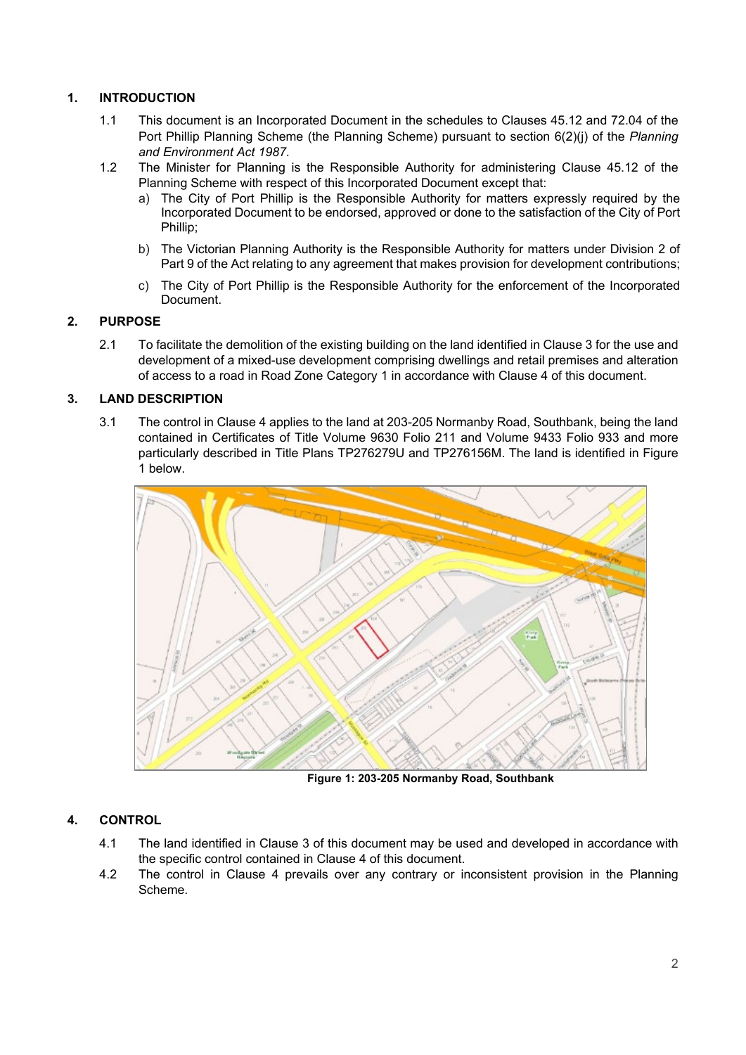# **1. INTRODUCTION**

- 1.1 This document is an Incorporated Document in the schedules to Clauses 45.12 and 72.04 of the Port Phillip Planning Scheme (the Planning Scheme) pursuant to section 6(2)(j) of the *Planning and Environment Act 1987*.
- 1.2 The Minister for Planning is the Responsible Authority for administering Clause 45.12 of the Planning Scheme with respect of this Incorporated Document except that:
	- a) The City of Port Phillip is the Responsible Authority for matters expressly required by the Incorporated Document to be endorsed, approved or done to the satisfaction of the City of Port Phillip;
	- b) The Victorian Planning Authority is the Responsible Authority for matters under Division 2 of Part 9 of the Act relating to any agreement that makes provision for development contributions;
	- c) The City of Port Phillip is the Responsible Authority for the enforcement of the Incorporated Document.

# **2. PURPOSE**

2.1 To facilitate the demolition of the existing building on the land identified in Clause 3 for the use and development of a mixed-use development comprising dwellings and retail premises and alteration of access to a road in Road Zone Category 1 in accordance with Clause 4 of this document.

# **3. LAND DESCRIPTION**

3.1 The control in Clause 4 applies to the land at 203-205 Normanby Road, Southbank, being the land contained in Certificates of Title Volume 9630 Folio 211 and Volume 9433 Folio 933 and more particularly described in Title Plans TP276279U and TP276156M. The land is identified in Figure 1 below.



**Figure 1: 203-205 Normanby Road, Southbank**

# **4. CONTROL**

- 4.1 The land identified in Clause 3 of this document may be used and developed in accordance with the specific control contained in Clause 4 of this document.
- 4.2 The control in Clause 4 prevails over any contrary or inconsistent provision in the Planning Scheme.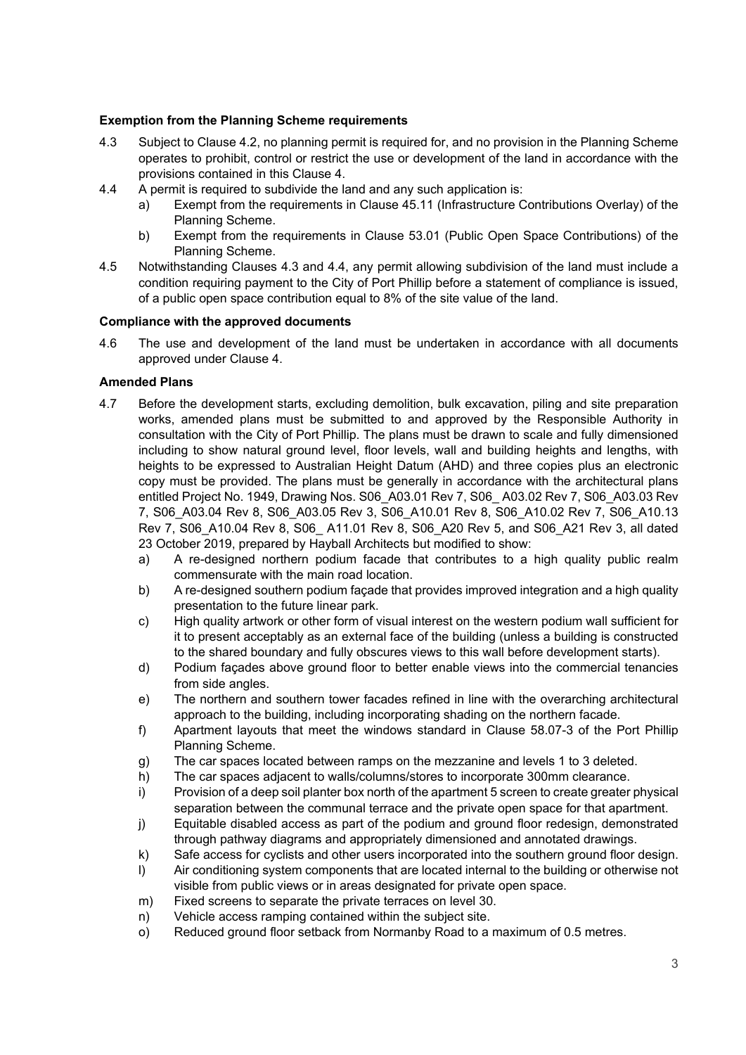## **Exemption from the Planning Scheme requirements**

- 4.3 Subject to Clause 4.2, no planning permit is required for, and no provision in the Planning Scheme operates to prohibit, control or restrict the use or development of the land in accordance with the provisions contained in this Clause 4.
- 4.4 A permit is required to subdivide the land and any such application is:
	- a) Exempt from the requirements in Clause 45.11 (Infrastructure Contributions Overlay) of the Planning Scheme.
	- b) Exempt from the requirements in Clause 53.01 (Public Open Space Contributions) of the Planning Scheme.
- 4.5 Notwithstanding Clauses 4.3 and 4.4, any permit allowing subdivision of the land must include a condition requiring payment to the City of Port Phillip before a statement of compliance is issued, of a public open space contribution equal to 8% of the site value of the land.

## **Compliance with the approved documents**

4.6 The use and development of the land must be undertaken in accordance with all documents approved under Clause 4.

# **Amended Plans**

- 4.7 Before the development starts, excluding demolition, bulk excavation, piling and site preparation works, amended plans must be submitted to and approved by the Responsible Authority in consultation with the City of Port Phillip. The plans must be drawn to scale and fully dimensioned including to show natural ground level, floor levels, wall and building heights and lengths, with heights to be expressed to Australian Height Datum (AHD) and three copies plus an electronic copy must be provided. The plans must be generally in accordance with the architectural plans entitled Project No. 1949, Drawing Nos. S06\_A03.01 Rev 7, S06\_ A03.02 Rev 7, S06\_A03.03 Rev 7, S06\_A03.04 Rev 8, S06\_A03.05 Rev 3, S06\_A10.01 Rev 8, S06\_A10.02 Rev 7, S06\_A10.13 Rev 7, S06\_A10.04 Rev 8, S06\_ A11.01 Rev 8, S06\_A20 Rev 5, and S06\_A21 Rev 3, all dated 23 October 2019, prepared by Hayball Architects but modified to show:
	- a) A re-designed northern podium facade that contributes to a high quality public realm commensurate with the main road location.
	- b) A re-designed southern podium façade that provides improved integration and a high quality presentation to the future linear park.
	- c) High quality artwork or other form of visual interest on the western podium wall sufficient for it to present acceptably as an external face of the building (unless a building is constructed to the shared boundary and fully obscures views to this wall before development starts).
	- d) Podium façades above ground floor to better enable views into the commercial tenancies from side angles.
	- e) The northern and southern tower facades refined in line with the overarching architectural approach to the building, including incorporating shading on the northern facade.
	- f) Apartment layouts that meet the windows standard in Clause 58.07-3 of the Port Phillip Planning Scheme.
	- g) The car spaces located between ramps on the mezzanine and levels 1 to 3 deleted.
	- h) The car spaces adjacent to walls/columns/stores to incorporate 300mm clearance.
	- i) Provision of a deep soil planter box north of the apartment 5 screen to create greater physical separation between the communal terrace and the private open space for that apartment.
	- j) Equitable disabled access as part of the podium and ground floor redesign, demonstrated through pathway diagrams and appropriately dimensioned and annotated drawings.
	- k) Safe access for cyclists and other users incorporated into the southern ground floor design.
	- l) Air conditioning system components that are located internal to the building or otherwise not visible from public views or in areas designated for private open space.
	- m) Fixed screens to separate the private terraces on level 30.
	- n) Vehicle access ramping contained within the subject site.
	- o) Reduced ground floor setback from Normanby Road to a maximum of 0.5 metres.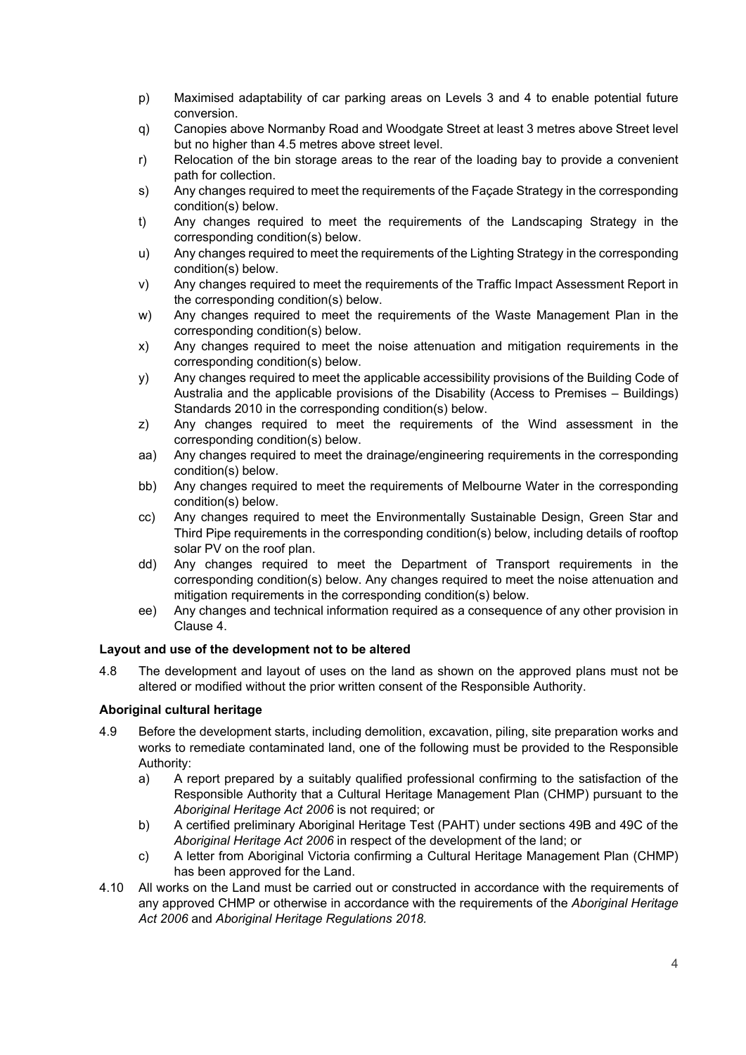- p) Maximised adaptability of car parking areas on Levels 3 and 4 to enable potential future conversion.
- q) Canopies above Normanby Road and Woodgate Street at least 3 metres above Street level but no higher than 4.5 metres above street level.
- r) Relocation of the bin storage areas to the rear of the loading bay to provide a convenient path for collection.
- s) Any changes required to meet the requirements of the Façade Strategy in the corresponding condition(s) below.
- t) Any changes required to meet the requirements of the Landscaping Strategy in the corresponding condition(s) below.
- u) Any changes required to meet the requirements of the Lighting Strategy in the corresponding condition(s) below.
- v) Any changes required to meet the requirements of the Traffic Impact Assessment Report in the corresponding condition(s) below.
- w) Any changes required to meet the requirements of the Waste Management Plan in the corresponding condition(s) below.
- x) Any changes required to meet the noise attenuation and mitigation requirements in the corresponding condition(s) below.
- y) Any changes required to meet the applicable accessibility provisions of the Building Code of Australia and the applicable provisions of the Disability (Access to Premises – Buildings) Standards 2010 in the corresponding condition(s) below.
- z) Any changes required to meet the requirements of the Wind assessment in the corresponding condition(s) below.
- aa) Any changes required to meet the drainage/engineering requirements in the corresponding condition(s) below.
- bb) Any changes required to meet the requirements of Melbourne Water in the corresponding condition(s) below.
- cc) Any changes required to meet the Environmentally Sustainable Design, Green Star and Third Pipe requirements in the corresponding condition(s) below, including details of rooftop solar PV on the roof plan.
- dd) Any changes required to meet the Department of Transport requirements in the corresponding condition(s) below. Any changes required to meet the noise attenuation and mitigation requirements in the corresponding condition(s) below.
- ee) Any changes and technical information required as a consequence of any other provision in Clause 4.

## **Layout and use of the development not to be altered**

4.8 The development and layout of uses on the land as shown on the approved plans must not be altered or modified without the prior written consent of the Responsible Authority.

# **Aboriginal cultural heritage**

- 4.9 Before the development starts, including demolition, excavation, piling, site preparation works and works to remediate contaminated land, one of the following must be provided to the Responsible Authority:
	- a) A report prepared by a suitably qualified professional confirming to the satisfaction of the Responsible Authority that a Cultural Heritage Management Plan (CHMP) pursuant to the *Aboriginal Heritage Act 2006* is not required; or
	- b) A certified preliminary Aboriginal Heritage Test (PAHT) under sections 49B and 49C of the *Aboriginal Heritage Act 2006* in respect of the development of the land; or
	- c) A letter from Aboriginal Victoria confirming a Cultural Heritage Management Plan (CHMP) has been approved for the Land.
- 4.10 All works on the Land must be carried out or constructed in accordance with the requirements of any approved CHMP or otherwise in accordance with the requirements of the *Aboriginal Heritage Act 2006* and *Aboriginal Heritage Regulations 2018.*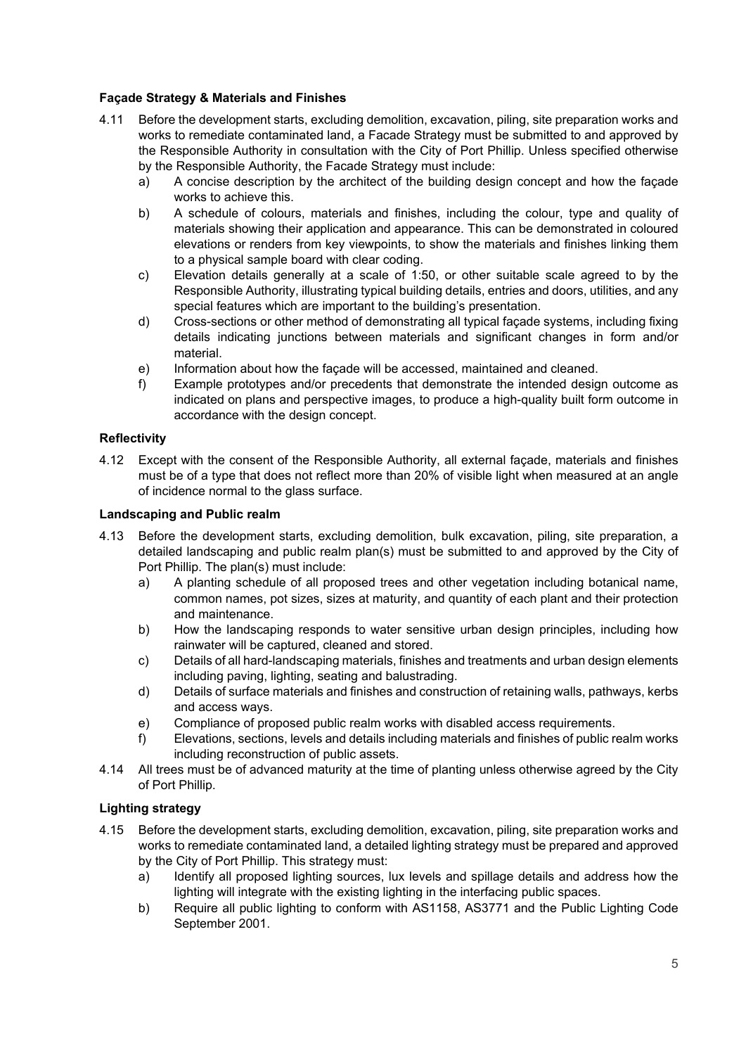# **Façade Strategy & Materials and Finishes**

- 4.11 Before the development starts, excluding demolition, excavation, piling, site preparation works and works to remediate contaminated land, a Facade Strategy must be submitted to and approved by the Responsible Authority in consultation with the City of Port Phillip. Unless specified otherwise by the Responsible Authority, the Facade Strategy must include:
	- a) A concise description by the architect of the building design concept and how the façade works to achieve this.
	- b) A schedule of colours, materials and finishes, including the colour, type and quality of materials showing their application and appearance. This can be demonstrated in coloured elevations or renders from key viewpoints, to show the materials and finishes linking them to a physical sample board with clear coding.
	- c) Elevation details generally at a scale of 1:50, or other suitable scale agreed to by the Responsible Authority, illustrating typical building details, entries and doors, utilities, and any special features which are important to the building's presentation.
	- d) Cross-sections or other method of demonstrating all typical façade systems, including fixing details indicating junctions between materials and significant changes in form and/or material.
	- e) Information about how the façade will be accessed, maintained and cleaned.
	- f) Example prototypes and/or precedents that demonstrate the intended design outcome as indicated on plans and perspective images, to produce a high-quality built form outcome in accordance with the design concept.

## **Reflectivity**

4.12 Except with the consent of the Responsible Authority, all external façade, materials and finishes must be of a type that does not reflect more than 20% of visible light when measured at an angle of incidence normal to the glass surface.

# **Landscaping and Public realm**

- 4.13 Before the development starts, excluding demolition, bulk excavation, piling, site preparation, a detailed landscaping and public realm plan(s) must be submitted to and approved by the City of Port Phillip. The plan(s) must include:
	- a) A planting schedule of all proposed trees and other vegetation including botanical name, common names, pot sizes, sizes at maturity, and quantity of each plant and their protection and maintenance.
	- b) How the landscaping responds to water sensitive urban design principles, including how rainwater will be captured, cleaned and stored.
	- c) Details of all hard-landscaping materials, finishes and treatments and urban design elements including paving, lighting, seating and balustrading.
	- d) Details of surface materials and finishes and construction of retaining walls, pathways, kerbs and access ways.
	- e) Compliance of proposed public realm works with disabled access requirements.
	- f) Elevations, sections, levels and details including materials and finishes of public realm works including reconstruction of public assets.
- 4.14 All trees must be of advanced maturity at the time of planting unless otherwise agreed by the City of Port Phillip.

# **Lighting strategy**

- 4.15 Before the development starts, excluding demolition, excavation, piling, site preparation works and works to remediate contaminated land, a detailed lighting strategy must be prepared and approved by the City of Port Phillip. This strategy must:
	- a) Identify all proposed lighting sources, lux levels and spillage details and address how the lighting will integrate with the existing lighting in the interfacing public spaces.
	- b) Require all public lighting to conform with AS1158, AS3771 and the Public Lighting Code September 2001.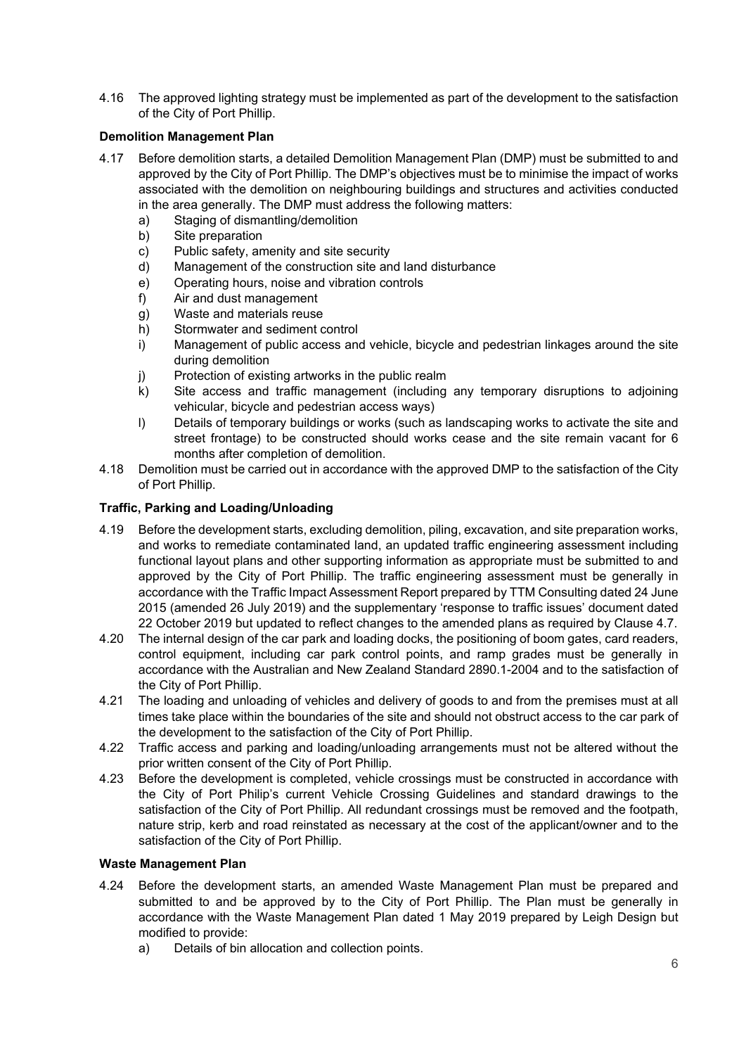4.16 The approved lighting strategy must be implemented as part of the development to the satisfaction of the City of Port Phillip.

# **Demolition Management Plan**

- 4.17 Before demolition starts, a detailed Demolition Management Plan (DMP) must be submitted to and approved by the City of Port Phillip. The DMP's objectives must be to minimise the impact of works associated with the demolition on neighbouring buildings and structures and activities conducted in the area generally. The DMP must address the following matters:
	- a) Staging of dismantling/demolition
	- b) Site preparation
	- c) Public safety, amenity and site security
	- d) Management of the construction site and land disturbance
	- e) Operating hours, noise and vibration controls
	- f) Air and dust management
	- g) Waste and materials reuse
	- h) Stormwater and sediment control
	- i) Management of public access and vehicle, bicycle and pedestrian linkages around the site during demolition
	- j) Protection of existing artworks in the public realm
	- k) Site access and traffic management (including any temporary disruptions to adjoining vehicular, bicycle and pedestrian access ways)
	- l) Details of temporary buildings or works (such as landscaping works to activate the site and street frontage) to be constructed should works cease and the site remain vacant for 6 months after completion of demolition.
- 4.18 Demolition must be carried out in accordance with the approved DMP to the satisfaction of the City of Port Phillip.

# **Traffic, Parking and Loading/Unloading**

- 4.19 Before the development starts, excluding demolition, piling, excavation, and site preparation works, and works to remediate contaminated land, an updated traffic engineering assessment including functional layout plans and other supporting information as appropriate must be submitted to and approved by the City of Port Phillip. The traffic engineering assessment must be generally in accordance with the Traffic Impact Assessment Report prepared by TTM Consulting dated 24 June 2015 (amended 26 July 2019) and the supplementary 'response to traffic issues' document dated 22 October 2019 but updated to reflect changes to the amended plans as required by Clause 4.7.
- 4.20 The internal design of the car park and loading docks, the positioning of boom gates, card readers, control equipment, including car park control points, and ramp grades must be generally in accordance with the Australian and New Zealand Standard 2890.1-2004 and to the satisfaction of the City of Port Phillip.
- 4.21 The loading and unloading of vehicles and delivery of goods to and from the premises must at all times take place within the boundaries of the site and should not obstruct access to the car park of the development to the satisfaction of the City of Port Phillip.
- 4.22 Traffic access and parking and loading/unloading arrangements must not be altered without the prior written consent of the City of Port Phillip.
- 4.23 Before the development is completed, vehicle crossings must be constructed in accordance with the City of Port Philip's current Vehicle Crossing Guidelines and standard drawings to the satisfaction of the City of Port Phillip. All redundant crossings must be removed and the footpath, nature strip, kerb and road reinstated as necessary at the cost of the applicant/owner and to the satisfaction of the City of Port Phillip.

## **Waste Management Plan**

- 4.24 Before the development starts, an amended Waste Management Plan must be prepared and submitted to and be approved by to the City of Port Phillip. The Plan must be generally in accordance with the Waste Management Plan dated 1 May 2019 prepared by Leigh Design but modified to provide:
	- a) Details of bin allocation and collection points.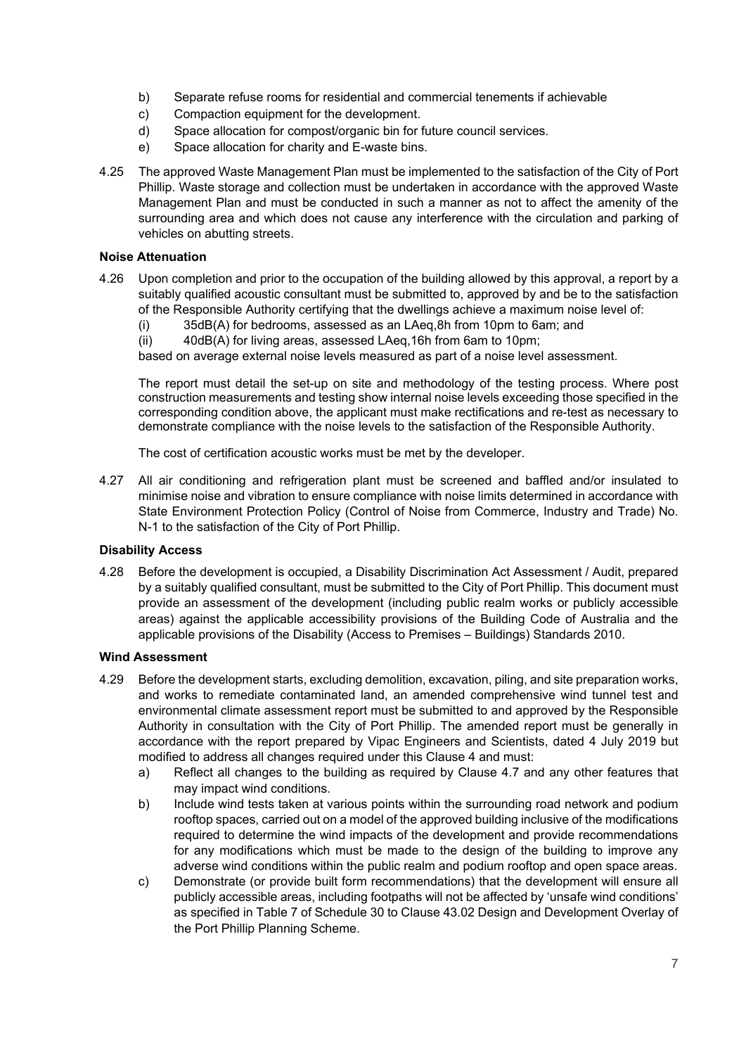- b) Separate refuse rooms for residential and commercial tenements if achievable
- c) Compaction equipment for the development.
- d) Space allocation for compost/organic bin for future council services.
- e) Space allocation for charity and E-waste bins.
- 4.25 The approved Waste Management Plan must be implemented to the satisfaction of the City of Port Phillip. Waste storage and collection must be undertaken in accordance with the approved Waste Management Plan and must be conducted in such a manner as not to affect the amenity of the surrounding area and which does not cause any interference with the circulation and parking of vehicles on abutting streets.

## **Noise Attenuation**

- 4.26 Upon completion and prior to the occupation of the building allowed by this approval, a report by a suitably qualified acoustic consultant must be submitted to, approved by and be to the satisfaction of the Responsible Authority certifying that the dwellings achieve a maximum noise level of:
	- (i) 35dB(A) for bedrooms, assessed as an LAeq,8h from 10pm to 6am; and
	- (ii) 40dB(A) for living areas, assessed LAeq,16h from 6am to 10pm;

based on average external noise levels measured as part of a noise level assessment.

The report must detail the set-up on site and methodology of the testing process. Where post construction measurements and testing show internal noise levels exceeding those specified in the corresponding condition above, the applicant must make rectifications and re-test as necessary to demonstrate compliance with the noise levels to the satisfaction of the Responsible Authority.

The cost of certification acoustic works must be met by the developer.

4.27 All air conditioning and refrigeration plant must be screened and baffled and/or insulated to minimise noise and vibration to ensure compliance with noise limits determined in accordance with State Environment Protection Policy (Control of Noise from Commerce, Industry and Trade) No. N-1 to the satisfaction of the City of Port Phillip.

#### **Disability Access**

4.28 Before the development is occupied, a Disability Discrimination Act Assessment / Audit, prepared by a suitably qualified consultant, must be submitted to the City of Port Phillip. This document must provide an assessment of the development (including public realm works or publicly accessible areas) against the applicable accessibility provisions of the Building Code of Australia and the applicable provisions of the Disability (Access to Premises – Buildings) Standards 2010.

#### **Wind Assessment**

- 4.29 Before the development starts, excluding demolition, excavation, piling, and site preparation works, and works to remediate contaminated land, an amended comprehensive wind tunnel test and environmental climate assessment report must be submitted to and approved by the Responsible Authority in consultation with the City of Port Phillip. The amended report must be generally in accordance with the report prepared by Vipac Engineers and Scientists, dated 4 July 2019 but modified to address all changes required under this Clause 4 and must:
	- a) Reflect all changes to the building as required by Clause 4.7 and any other features that may impact wind conditions.
	- b) Include wind tests taken at various points within the surrounding road network and podium rooftop spaces, carried out on a model of the approved building inclusive of the modifications required to determine the wind impacts of the development and provide recommendations for any modifications which must be made to the design of the building to improve any adverse wind conditions within the public realm and podium rooftop and open space areas.
	- c) Demonstrate (or provide built form recommendations) that the development will ensure all publicly accessible areas, including footpaths will not be affected by 'unsafe wind conditions' as specified in Table 7 of Schedule 30 to Clause 43.02 Design and Development Overlay of the Port Phillip Planning Scheme.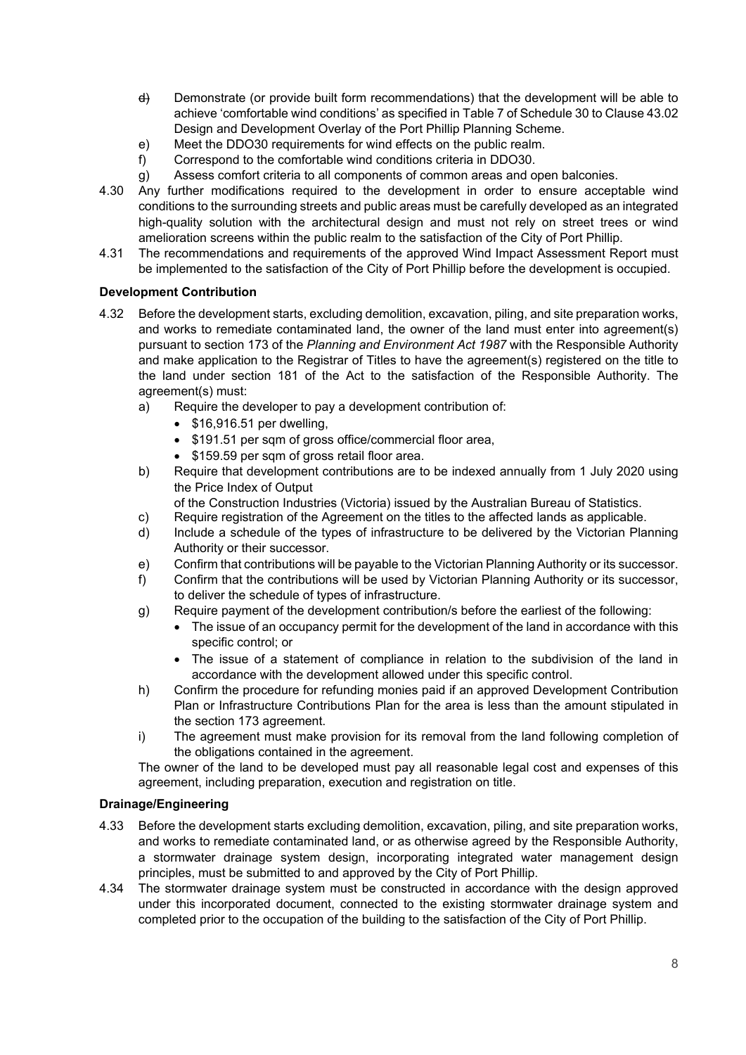- d) Demonstrate (or provide built form recommendations) that the development will be able to achieve 'comfortable wind conditions' as specified in Table 7 of Schedule 30 to Clause 43.02 Design and Development Overlay of the Port Phillip Planning Scheme.
- e) Meet the DDO30 requirements for wind effects on the public realm.
- f) Correspond to the comfortable wind conditions criteria in DDO30.
- g) Assess comfort criteria to all components of common areas and open balconies.
- 4.30 Any further modifications required to the development in order to ensure acceptable wind conditions to the surrounding streets and public areas must be carefully developed as an integrated high-quality solution with the architectural design and must not rely on street trees or wind amelioration screens within the public realm to the satisfaction of the City of Port Phillip.
- 4.31 The recommendations and requirements of the approved Wind Impact Assessment Report must be implemented to the satisfaction of the City of Port Phillip before the development is occupied.

#### **Development Contribution**

- 4.32 Before the development starts, excluding demolition, excavation, piling, and site preparation works, and works to remediate contaminated land, the owner of the land must enter into agreement(s) pursuant to section 173 of the *Planning and Environment Act 1987* with the Responsible Authority and make application to the Registrar of Titles to have the agreement(s) registered on the title to the land under section 181 of the Act to the satisfaction of the Responsible Authority. The agreement(s) must:
	- a) Require the developer to pay a development contribution of:
		- \$16,916.51 per dwelling,
		- \$191.51 per sqm of gross office/commercial floor area,
		- \$159.59 per sqm of gross retail floor area.
	- b) Require that development contributions are to be indexed annually from 1 July 2020 using the Price Index of Output
	- of the Construction Industries (Victoria) issued by the Australian Bureau of Statistics.
	- c) Require registration of the Agreement on the titles to the affected lands as applicable.
	- d) Include a schedule of the types of infrastructure to be delivered by the Victorian Planning Authority or their successor.
	- e) Confirm that contributions will be payable to the Victorian Planning Authority or its successor.
	- f) Confirm that the contributions will be used by Victorian Planning Authority or its successor, to deliver the schedule of types of infrastructure.
	- g) Require payment of the development contribution/s before the earliest of the following:
		- The issue of an occupancy permit for the development of the land in accordance with this specific control; or
		- The issue of a statement of compliance in relation to the subdivision of the land in accordance with the development allowed under this specific control.
	- h) Confirm the procedure for refunding monies paid if an approved Development Contribution Plan or Infrastructure Contributions Plan for the area is less than the amount stipulated in the section 173 agreement.
	- i) The agreement must make provision for its removal from the land following completion of the obligations contained in the agreement.

The owner of the land to be developed must pay all reasonable legal cost and expenses of this agreement, including preparation, execution and registration on title.

#### **Drainage/Engineering**

- 4.33 Before the development starts excluding demolition, excavation, piling, and site preparation works, and works to remediate contaminated land, or as otherwise agreed by the Responsible Authority, a stormwater drainage system design, incorporating integrated water management design principles, must be submitted to and approved by the City of Port Phillip.
- 4.34 The stormwater drainage system must be constructed in accordance with the design approved under this incorporated document, connected to the existing stormwater drainage system and completed prior to the occupation of the building to the satisfaction of the City of Port Phillip.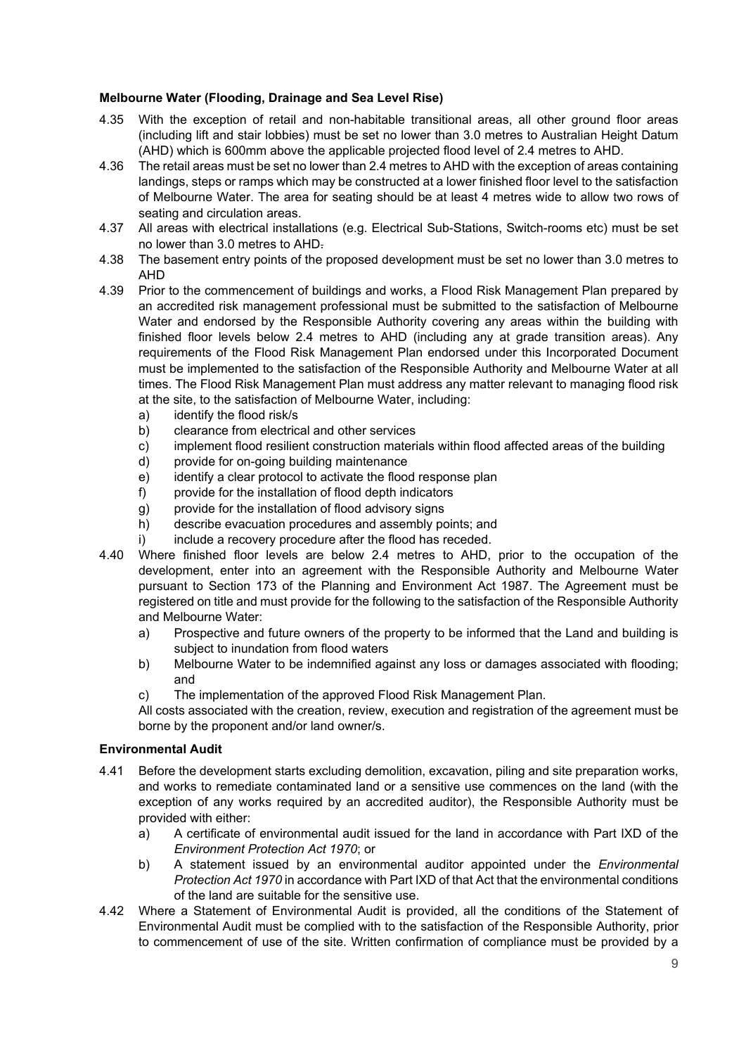# **Melbourne Water (Flooding, Drainage and Sea Level Rise)**

- 4.35 With the exception of retail and non-habitable transitional areas, all other ground floor areas (including lift and stair lobbies) must be set no lower than 3.0 metres to Australian Height Datum (AHD) which is 600mm above the applicable projected flood level of 2.4 metres to AHD.
- 4.36 The retail areas must be set no lower than 2.4 metres to AHD with the exception of areas containing landings, steps or ramps which may be constructed at a lower finished floor level to the satisfaction of Melbourne Water. The area for seating should be at least 4 metres wide to allow two rows of seating and circulation areas.
- 4.37 All areas with electrical installations (e.g. Electrical Sub-Stations, Switch-rooms etc) must be set no lower than 3.0 metres to AHD.
- 4.38 The basement entry points of the proposed development must be set no lower than 3.0 metres to AHD
- 4.39 Prior to the commencement of buildings and works, a Flood Risk Management Plan prepared by an accredited risk management professional must be submitted to the satisfaction of Melbourne Water and endorsed by the Responsible Authority covering any areas within the building with finished floor levels below 2.4 metres to AHD (including any at grade transition areas). Any requirements of the Flood Risk Management Plan endorsed under this Incorporated Document must be implemented to the satisfaction of the Responsible Authority and Melbourne Water at all times. The Flood Risk Management Plan must address any matter relevant to managing flood risk at the site, to the satisfaction of Melbourne Water, including:
	- a) identify the flood risk/s
	- b) clearance from electrical and other services
	- c) implement flood resilient construction materials within flood affected areas of the building
	- d) provide for on-going building maintenance
	- e) identify a clear protocol to activate the flood response plan
	- f) provide for the installation of flood depth indicators
	- g) provide for the installation of flood advisory signs
	- h) describe evacuation procedures and assembly points; and
	- i) include a recovery procedure after the flood has receded.
- 4.40 Where finished floor levels are below 2.4 metres to AHD, prior to the occupation of the development, enter into an agreement with the Responsible Authority and Melbourne Water pursuant to Section 173 of the Planning and Environment Act 1987. The Agreement must be registered on title and must provide for the following to the satisfaction of the Responsible Authority and Melbourne Water:
	- a) Prospective and future owners of the property to be informed that the Land and building is subject to inundation from flood waters
	- b) Melbourne Water to be indemnified against any loss or damages associated with flooding; and
	- c) The implementation of the approved Flood Risk Management Plan.

All costs associated with the creation, review, execution and registration of the agreement must be borne by the proponent and/or land owner/s.

## **Environmental Audit**

- 4.41 Before the development starts excluding demolition, excavation, piling and site preparation works, and works to remediate contaminated land or a sensitive use commences on the land (with the exception of any works required by an accredited auditor), the Responsible Authority must be provided with either:
	- a) A certificate of environmental audit issued for the land in accordance with Part IXD of the *Environment Protection Act 1970*; or
	- b) A statement issued by an environmental auditor appointed under the *Environmental Protection Act 1970* in accordance with Part IXD of that Act that the environmental conditions of the land are suitable for the sensitive use.
- 4.42 Where a Statement of Environmental Audit is provided, all the conditions of the Statement of Environmental Audit must be complied with to the satisfaction of the Responsible Authority, prior to commencement of use of the site. Written confirmation of compliance must be provided by a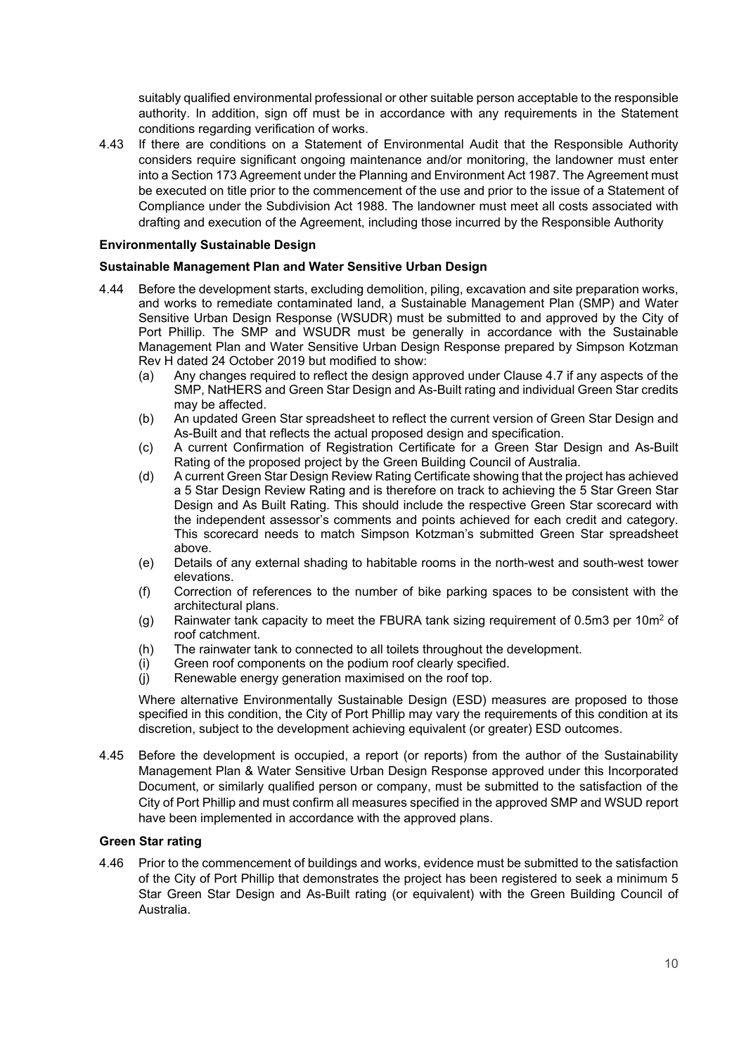suitably qualified environmental professional or other suitable person acceptable to the responsible authority. In addition, sign off must be in accordance with any requirements in the Statement conditions regarding verification of works.

4.43 If there are conditions on a Statement of Environmental Audit that the Responsible Authority considers require significant ongoing maintenance and/or monitoring, the landowner must enter into a Section 173 Agreement under the Planning and Environment Act 1987. The Agreement must be executed on title prior to the commencement of the use and prior to the issue of a Statement of Compliance under the Subdivision Act 1988. The landowner must meet all costs associated with drafting and execution of the Agreement, including those incurred by the Responsible Authority

## **Environmentally Sustainable Design**

## **Sustainable Management Plan and Water Sensitive Urban Design**

- 4.44 Before the development starts, excluding demolition, piling, excavation and site preparation works, and works to remediate contaminated land, a Sustainable Management Plan (SMP) and Water Sensitive Urban Design Response (WSUDR) must be submitted to and approved by the City of Port Phillip. The SMP and WSUDR must be generally in accordance with the Sustainable Management Plan and Water Sensitive Urban Design Response prepared by Simpson Kotzman Rev H dated 24 October 2019 but modified to show:
	- (a) Any changes required to reflect the design approved under Clause 4.7 if any aspects of the SMP, NatHERS and Green Star Design and As-Built rating and individual Green Star credits may be affected.
	- (b) An updated Green Star spreadsheet to reflect the current version of Green Star Design and As-Built and that reflects the actual proposed design and specification.
	- (c) A current Confirmation of Registration Certificate for a Green Star Design and As-Built Rating of the proposed project by the Green Building Council of Australia.
	- (d) A current Green Star Design Review Rating Certificate showing that the project has achieved a 5 Star Design Review Rating and is therefore on track to achieving the 5 Star Green Star Design and As Built Rating. This should include the respective Green Star scorecard with the independent assessor's comments and points achieved for each credit and category. This scorecard needs to match Simpson Kotzman's submitted Green Star spreadsheet above.
	- (e) Details of any external shading to habitable rooms in the north-west and south-west tower elevations.
	- (f) Correction of references to the number of bike parking spaces to be consistent with the architectural plans.
	- (g) Rainwater tank capacity to meet the FBURA tank sizing requirement of 0.5m3 per 10m<sup>2</sup> of roof catchment.
	- (h) The rainwater tank to connected to all toilets throughout the development.
	- (i) Green roof components on the podium roof clearly specified.
	- (j) Renewable energy generation maximised on the roof top.

Where alternative Environmentally Sustainable Design (ESD) measures are proposed to those specified in this condition, the City of Port Phillip may vary the requirements of this condition at its discretion, subject to the development achieving equivalent (or greater) ESD outcomes.

4.45 Before the development is occupied, a report (or reports) from the author of the Sustainability Management Plan & Water Sensitive Urban Design Response approved under this Incorporated Document, or similarly qualified person or company, must be submitted to the satisfaction of the City of Port Phillip and must confirm all measures specified in the approved SMP and WSUD report have been implemented in accordance with the approved plans.

## **Green Star rating**

4.46 Prior to the commencement of buildings and works, evidence must be submitted to the satisfaction of the City of Port Phillip that demonstrates the project has been registered to seek a minimum 5 Star Green Star Design and As-Built rating (or equivalent) with the Green Building Council of Australia.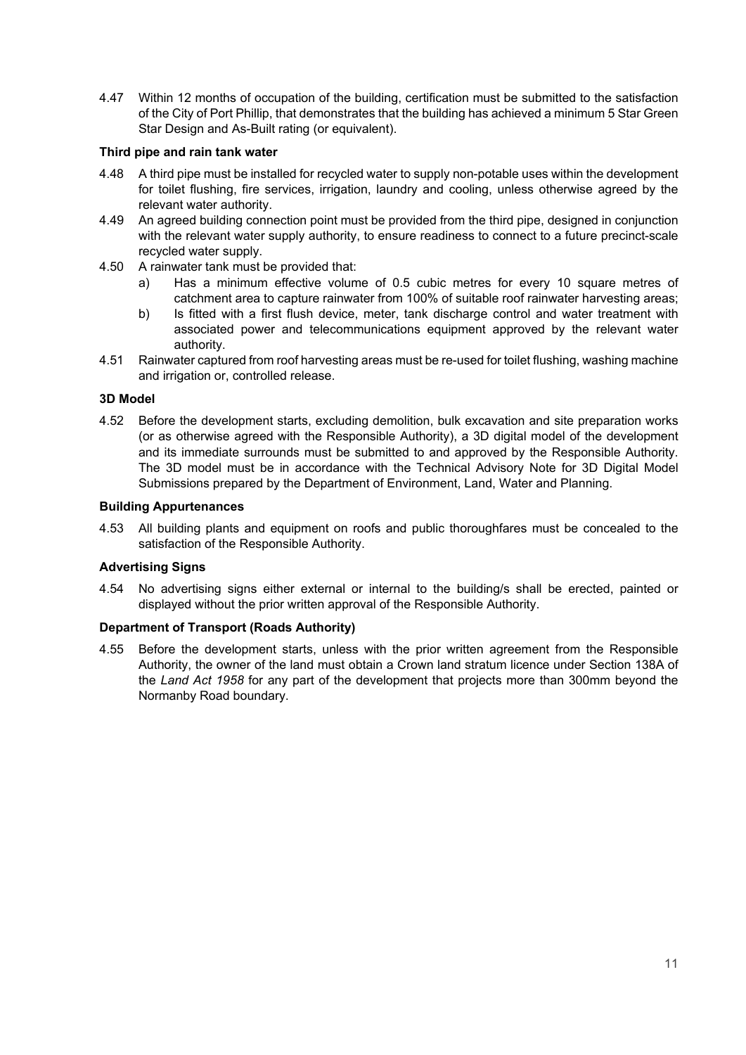4.47 Within 12 months of occupation of the building, certification must be submitted to the satisfaction of the City of Port Phillip, that demonstrates that the building has achieved a minimum 5 Star Green Star Design and As-Built rating (or equivalent).

### **Third pipe and rain tank water**

- 4.48 A third pipe must be installed for recycled water to supply non-potable uses within the development for toilet flushing, fire services, irrigation, laundry and cooling, unless otherwise agreed by the relevant water authority.
- 4.49 An agreed building connection point must be provided from the third pipe, designed in conjunction with the relevant water supply authority, to ensure readiness to connect to a future precinct-scale recycled water supply.
- 4.50 A rainwater tank must be provided that:
	- a) Has a minimum effective volume of 0.5 cubic metres for every 10 square metres of catchment area to capture rainwater from 100% of suitable roof rainwater harvesting areas;
	- b) Is fitted with a first flush device, meter, tank discharge control and water treatment with associated power and telecommunications equipment approved by the relevant water authority.
- 4.51 Rainwater captured from roof harvesting areas must be re-used for toilet flushing, washing machine and irrigation or, controlled release.

## **3D Model**

4.52 Before the development starts, excluding demolition, bulk excavation and site preparation works (or as otherwise agreed with the Responsible Authority), a 3D digital model of the development and its immediate surrounds must be submitted to and approved by the Responsible Authority. The 3D model must be in accordance with the Technical Advisory Note for 3D Digital Model Submissions prepared by the Department of Environment, Land, Water and Planning.

#### **Building Appurtenances**

4.53 All building plants and equipment on roofs and public thoroughfares must be concealed to the satisfaction of the Responsible Authority.

## **Advertising Signs**

4.54 No advertising signs either external or internal to the building/s shall be erected, painted or displayed without the prior written approval of the Responsible Authority.

## **Department of Transport (Roads Authority)**

4.55 Before the development starts, unless with the prior written agreement from the Responsible Authority, the owner of the land must obtain a Crown land stratum licence under Section 138A of the *Land Act 1958* for any part of the development that projects more than 300mm beyond the Normanby Road boundary.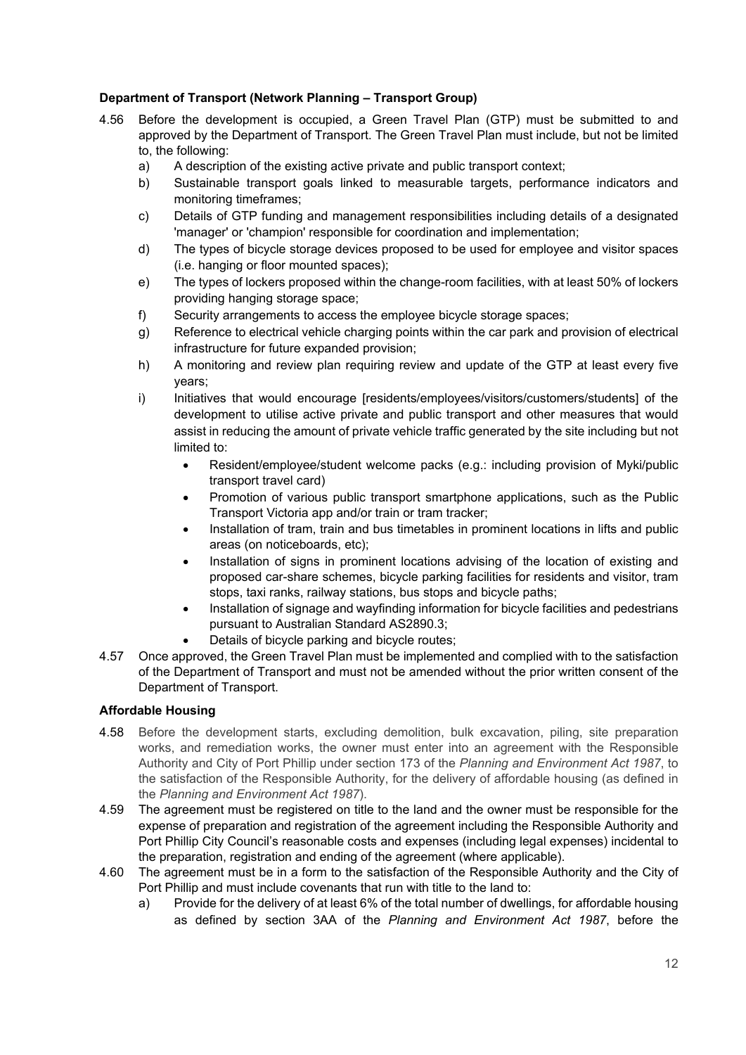# **Department of Transport (Network Planning – Transport Group)**

- 4.56 Before the development is occupied, a Green Travel Plan (GTP) must be submitted to and approved by the Department of Transport. The Green Travel Plan must include, but not be limited to, the following:
	- a) A description of the existing active private and public transport context;
	- b) Sustainable transport goals linked to measurable targets, performance indicators and monitoring timeframes;
	- c) Details of GTP funding and management responsibilities including details of a designated 'manager' or 'champion' responsible for coordination and implementation;
	- d) The types of bicycle storage devices proposed to be used for employee and visitor spaces (i.e. hanging or floor mounted spaces);
	- e) The types of lockers proposed within the change-room facilities, with at least 50% of lockers providing hanging storage space;
	- f) Security arrangements to access the employee bicycle storage spaces;
	- g) Reference to electrical vehicle charging points within the car park and provision of electrical infrastructure for future expanded provision;
	- h) A monitoring and review plan requiring review and update of the GTP at least every five years;
	- i) Initiatives that would encourage [residents/employees/visitors/customers/students] of the development to utilise active private and public transport and other measures that would assist in reducing the amount of private vehicle traffic generated by the site including but not limited to:
		- Resident/employee/student welcome packs (e.g.: including provision of Myki/public transport travel card)
		- Promotion of various public transport smartphone applications, such as the Public Transport Victoria app and/or train or tram tracker;
		- Installation of tram, train and bus timetables in prominent locations in lifts and public areas (on noticeboards, etc);
		- Installation of signs in prominent locations advising of the location of existing and proposed car-share schemes, bicycle parking facilities for residents and visitor, tram stops, taxi ranks, railway stations, bus stops and bicycle paths;
		- Installation of signage and wayfinding information for bicycle facilities and pedestrians pursuant to Australian Standard AS2890.3;
			- Details of bicycle parking and bicycle routes:
- 4.57 Once approved, the Green Travel Plan must be implemented and complied with to the satisfaction of the Department of Transport and must not be amended without the prior written consent of the Department of Transport.

# **Affordable Housing**

- 4.58 Before the development starts, excluding demolition, bulk excavation, piling, site preparation works, and remediation works, the owner must enter into an agreement with the Responsible Authority and City of Port Phillip under section 173 of the *Planning and Environment Act 1987*, to the satisfaction of the Responsible Authority, for the delivery of affordable housing (as defined in the *Planning and Environment Act 1987*).
- 4.59 The agreement must be registered on title to the land and the owner must be responsible for the expense of preparation and registration of the agreement including the Responsible Authority and Port Phillip City Council's reasonable costs and expenses (including legal expenses) incidental to the preparation, registration and ending of the agreement (where applicable).
- 4.60 The agreement must be in a form to the satisfaction of the Responsible Authority and the City of Port Phillip and must include covenants that run with title to the land to:
	- a) Provide for the delivery of at least 6% of the total number of dwellings, for affordable housing as defined by section 3AA of the *Planning and Environment Act 1987*, before the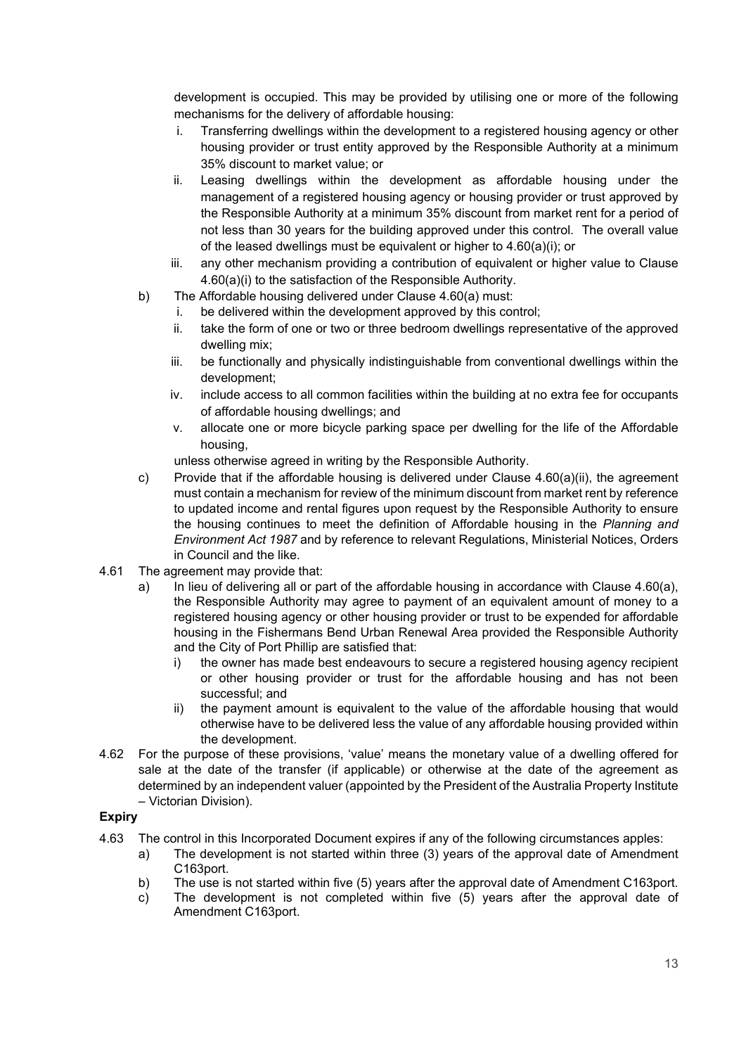development is occupied. This may be provided by utilising one or more of the following mechanisms for the delivery of affordable housing:

- i. Transferring dwellings within the development to a registered housing agency or other housing provider or trust entity approved by the Responsible Authority at a minimum 35% discount to market value; or
- ii. Leasing dwellings within the development as affordable housing under the management of a registered housing agency or housing provider or trust approved by the Responsible Authority at a minimum 35% discount from market rent for a period of not less than 30 years for the building approved under this control. The overall value of the leased dwellings must be equivalent or higher to 4.60(a)(i); or
- iii. any other mechanism providing a contribution of equivalent or higher value to Clause 4.60(a)(i) to the satisfaction of the Responsible Authority.
- b) The Affordable housing delivered under Clause 4.60(a) must:
	- i. be delivered within the development approved by this control;
	- ii. take the form of one or two or three bedroom dwellings representative of the approved dwelling mix;
	- iii. be functionally and physically indistinguishable from conventional dwellings within the development;
	- iv. include access to all common facilities within the building at no extra fee for occupants of affordable housing dwellings; and
	- v. allocate one or more bicycle parking space per dwelling for the life of the Affordable housing,
	- unless otherwise agreed in writing by the Responsible Authority.
- c) Provide that if the affordable housing is delivered under Clause  $4.60(a)(ii)$ , the agreement must contain a mechanism for review of the minimum discount from market rent by reference to updated income and rental figures upon request by the Responsible Authority to ensure the housing continues to meet the definition of Affordable housing in the *Planning and Environment Act 1987* and by reference to relevant Regulations, Ministerial Notices, Orders in Council and the like.
- 4.61 The agreement may provide that:
	- a) In lieu of delivering all or part of the affordable housing in accordance with Clause 4.60(a), the Responsible Authority may agree to payment of an equivalent amount of money to a registered housing agency or other housing provider or trust to be expended for affordable housing in the Fishermans Bend Urban Renewal Area provided the Responsible Authority and the City of Port Phillip are satisfied that:
		- i) the owner has made best endeavours to secure a registered housing agency recipient or other housing provider or trust for the affordable housing and has not been successful; and
		- ii) the payment amount is equivalent to the value of the affordable housing that would otherwise have to be delivered less the value of any affordable housing provided within the development.
- 4.62 For the purpose of these provisions, 'value' means the monetary value of a dwelling offered for sale at the date of the transfer (if applicable) or otherwise at the date of the agreement as determined by an independent valuer (appointed by the President of the Australia Property Institute – Victorian Division).

# **Expiry**

- 4.63 The control in this Incorporated Document expires if any of the following circumstances apples:
	- a) The development is not started within three (3) years of the approval date of Amendment C163port.
	- b) The use is not started within five (5) years after the approval date of Amendment C163port.
	- c) The development is not completed within five (5) years after the approval date of Amendment C163port.